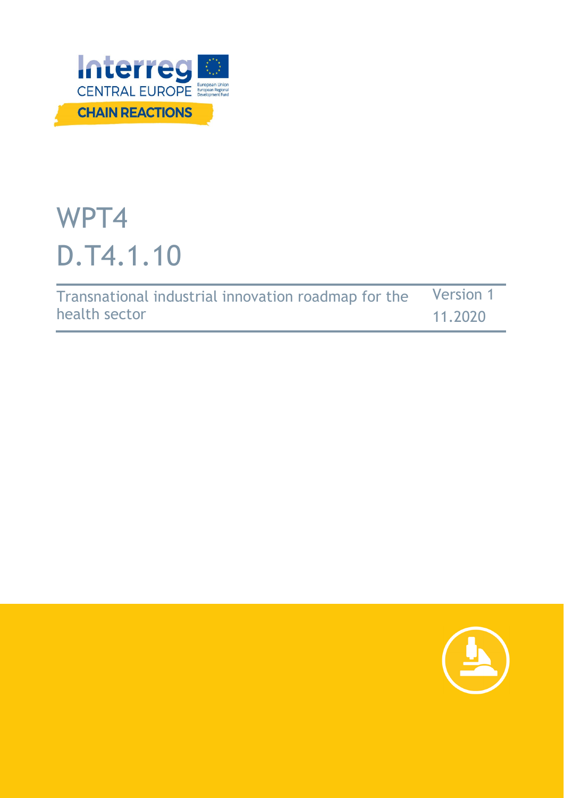

# WPT4 D.T4.1.10

| Transnational industrial innovation roadmap for the | <b>Version 1</b> |
|-----------------------------------------------------|------------------|
| health sector                                       | 11.2020          |

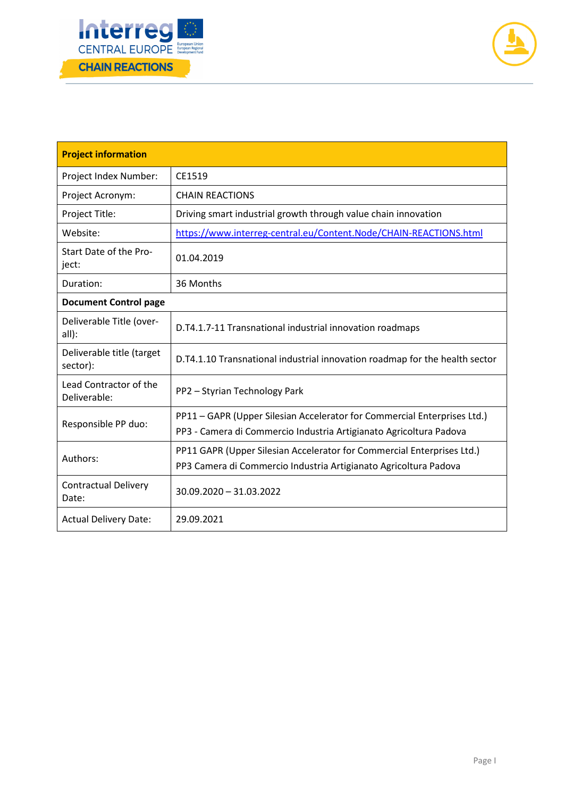



| <b>Project information</b>                                                                                                                             |                                                                                                                                                |  |  |  |
|--------------------------------------------------------------------------------------------------------------------------------------------------------|------------------------------------------------------------------------------------------------------------------------------------------------|--|--|--|
| Project Index Number:                                                                                                                                  | CE1519                                                                                                                                         |  |  |  |
| Project Acronym:                                                                                                                                       | <b>CHAIN REACTIONS</b>                                                                                                                         |  |  |  |
| Project Title:                                                                                                                                         | Driving smart industrial growth through value chain innovation                                                                                 |  |  |  |
| Website:                                                                                                                                               | https://www.interreg-central.eu/Content.Node/CHAIN-REACTIONS.html                                                                              |  |  |  |
| Start Date of the Pro-<br>ject:                                                                                                                        | 01.04.2019                                                                                                                                     |  |  |  |
| Duration:<br>36 Months                                                                                                                                 |                                                                                                                                                |  |  |  |
| <b>Document Control page</b>                                                                                                                           |                                                                                                                                                |  |  |  |
| Deliverable Title (over-<br>all):                                                                                                                      | D.T4.1.7-11 Transnational industrial innovation roadmaps                                                                                       |  |  |  |
| Deliverable title (target<br>sector):                                                                                                                  | D.T4.1.10 Transnational industrial innovation roadmap for the health sector                                                                    |  |  |  |
| Lead Contractor of the<br>PP2 - Styrian Technology Park<br>Deliverable:                                                                                |                                                                                                                                                |  |  |  |
| Responsible PP duo:                                                                                                                                    | PP11 - GAPR (Upper Silesian Accelerator for Commercial Enterprises Ltd.)<br>PP3 - Camera di Commercio Industria Artigianato Agricoltura Padova |  |  |  |
| PP11 GAPR (Upper Silesian Accelerator for Commercial Enterprises Ltd.)<br>Authors:<br>PP3 Camera di Commercio Industria Artigianato Agricoltura Padova |                                                                                                                                                |  |  |  |
| <b>Contractual Delivery</b><br>Date:                                                                                                                   | 30.09.2020 - 31.03.2022                                                                                                                        |  |  |  |
| <b>Actual Delivery Date:</b>                                                                                                                           | 29.09.2021                                                                                                                                     |  |  |  |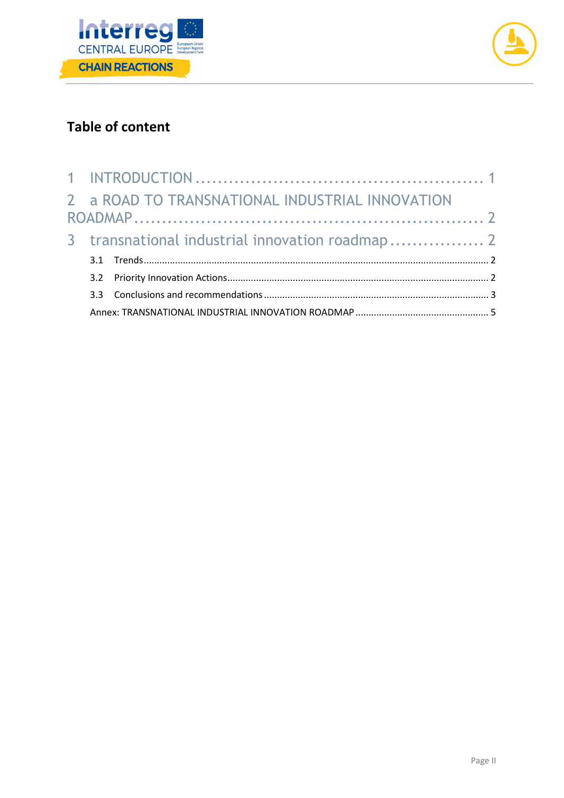



## **Table of content**

|  | 2 a ROAD TO TRANSNATIONAL INDUSTRIAL INNOVATION |  |
|--|-------------------------------------------------|--|
|  |                                                 |  |
|  | 3 transnational industrial innovation roadmap 2 |  |
|  |                                                 |  |
|  |                                                 |  |
|  |                                                 |  |
|  |                                                 |  |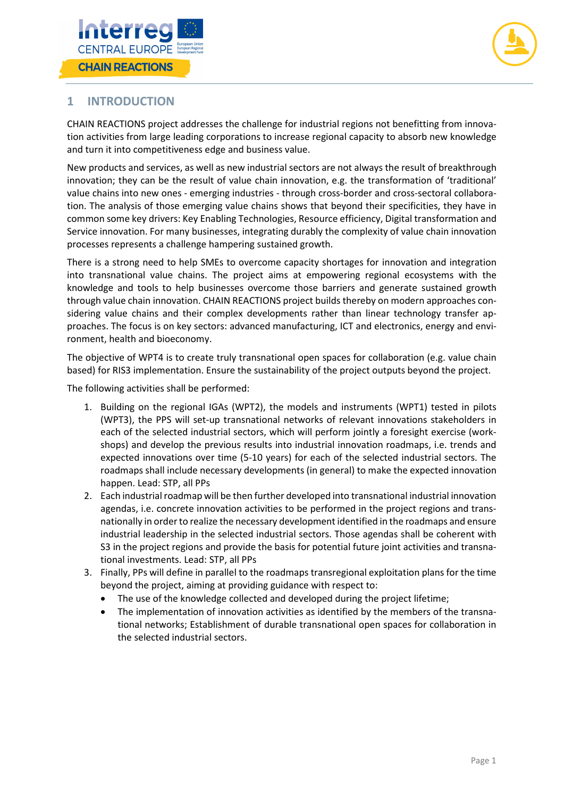



### **1 INTRODUCTION**

CHAIN REACTIONS project addresses the challenge for industrial regions not benefitting from innovation activities from large leading corporations to increase regional capacity to absorb new knowledge and turn it into competitiveness edge and business value.

New products and services, as well as new industrial sectors are not always the result of breakthrough innovation; they can be the result of value chain innovation, e.g. the transformation of 'traditional' value chains into new ones - emerging industries - through cross-border and cross-sectoral collaboration. The analysis of those emerging value chains shows that beyond their specificities, they have in common some key drivers: Key Enabling Technologies, Resource efficiency, Digital transformation and Service innovation. For many businesses, integrating durably the complexity of value chain innovation processes represents a challenge hampering sustained growth.

There is a strong need to help SMEs to overcome capacity shortages for innovation and integration into transnational value chains. The project aims at empowering regional ecosystems with the knowledge and tools to help businesses overcome those barriers and generate sustained growth through value chain innovation. CHAIN REACTIONS project builds thereby on modern approaches considering value chains and their complex developments rather than linear technology transfer approaches. The focus is on key sectors: advanced manufacturing, ICT and electronics, energy and environment, health and bioeconomy.

The objective of WPT4 is to create truly transnational open spaces for collaboration (e.g. value chain based) for RIS3 implementation. Ensure the sustainability of the project outputs beyond the project.

The following activities shall be performed:

- 1. Building on the regional IGAs (WPT2), the models and instruments (WPT1) tested in pilots (WPT3), the PPS will set-up transnational networks of relevant innovations stakeholders in each of the selected industrial sectors, which will perform jointly a foresight exercise (workshops) and develop the previous results into industrial innovation roadmaps, i.e. trends and expected innovations over time (5-10 years) for each of the selected industrial sectors. The roadmaps shall include necessary developments (in general) to make the expected innovation happen. Lead: STP, all PPs
- 2. Each industrial roadmap will be then further developed into transnational industrial innovation agendas, i.e. concrete innovation activities to be performed in the project regions and transnationally in order to realize the necessary development identified in the roadmaps and ensure industrial leadership in the selected industrial sectors. Those agendas shall be coherent with S3 in the project regions and provide the basis for potential future joint activities and transnational investments. Lead: STP, all PPs
- 3. Finally, PPs will define in parallel to the roadmaps transregional exploitation plans for the time beyond the project, aiming at providing guidance with respect to:
	- The use of the knowledge collected and developed during the project lifetime;
	- The implementation of innovation activities as identified by the members of the transnational networks; Establishment of durable transnational open spaces for collaboration in the selected industrial sectors.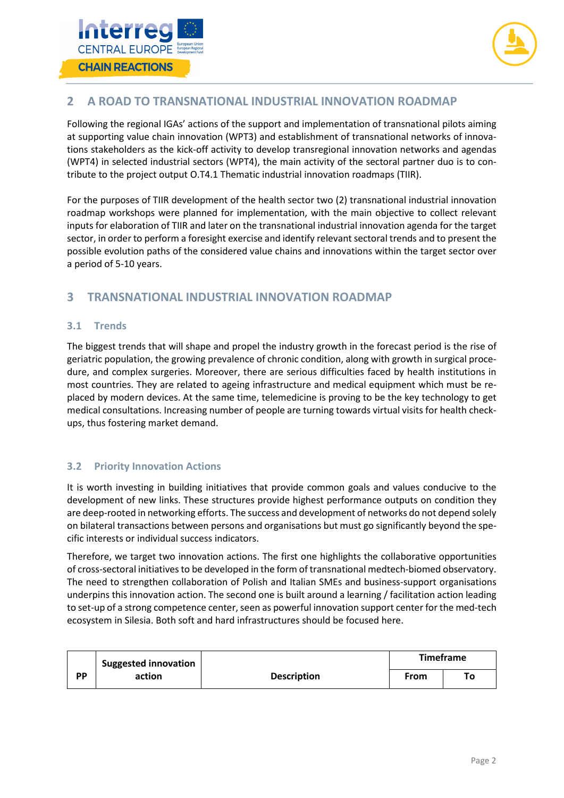



#### **2 A ROAD TO TRANSNATIONAL INDUSTRIAL INNOVATION ROADMAP**

Following the regional IGAs' actions of the support and implementation of transnational pilots aiming at supporting value chain innovation (WPT3) and establishment of transnational networks of innovations stakeholders as the kick-off activity to develop transregional innovation networks and agendas (WPT4) in selected industrial sectors (WPT4), the main activity of the sectoral partner duo is to contribute to the project output O.T4.1 Thematic industrial innovation roadmaps (TIIR).

For the purposes of TIIR development of the health sector two (2) transnational industrial innovation roadmap workshops were planned for implementation, with the main objective to collect relevant inputs for elaboration of TIIR and later on the transnational industrial innovation agenda for the target sector, in order to perform a foresight exercise and identify relevant sectoral trends and to present the possible evolution paths of the considered value chains and innovations within the target sector over a period of 5-10 years.

#### **3 TRANSNATIONAL INDUSTRIAL INNOVATION ROADMAP**

#### **3.1 Trends**

The biggest trends that will shape and propel the industry growth in the forecast period is the rise of geriatric population, the growing prevalence of chronic condition, along with growth in surgical procedure, and complex surgeries. Moreover, there are serious difficulties faced by health institutions in most countries. They are related to ageing infrastructure and medical equipment which must be replaced by modern devices. At the same time, telemedicine is proving to be the key technology to get medical consultations. Increasing number of people are turning towards virtual visits for health checkups, thus fostering market demand.

#### **3.2 Priority Innovation Actions**

It is worth investing in building initiatives that provide common goals and values conducive to the development of new links. These structures provide highest performance outputs on condition they are deep-rooted in networking efforts. The success and development of networks do not depend solely on bilateral transactions between persons and organisations but must go significantly beyond the specific interests or individual success indicators.

Therefore, we target two innovation actions. The first one highlights the collaborative opportunities of cross-sectoral initiatives to be developed in the form of transnational medtech-biomed observatory. The need to strengthen collaboration of Polish and Italian SMEs and business-support organisations underpins this innovation action. The second one is built around a learning / facilitation action leading to set-up of a strong competence center, seen as powerful innovation support center for the med-tech ecosystem in Silesia. Both soft and hard infrastructures should be focused here.

|           | <b>Suggested innovation</b> |                    | Timeframe |    |
|-----------|-----------------------------|--------------------|-----------|----|
| <b>PP</b> | action                      | <b>Description</b> | From      | To |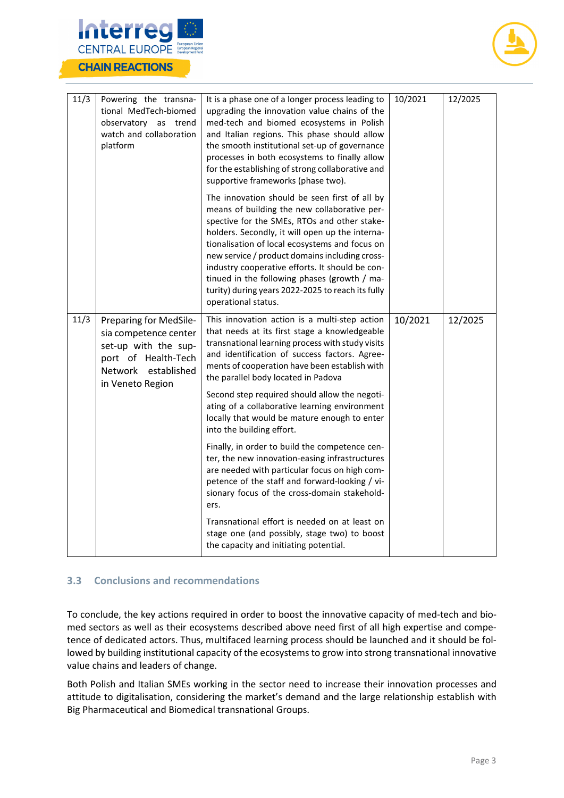

| 11/3 | Powering the transna-<br>tional MedTech-biomed<br>observatory as trend<br>watch and collaboration<br>platform                             | It is a phase one of a longer process leading to<br>upgrading the innovation value chains of the<br>med-tech and biomed ecosystems in Polish<br>and Italian regions. This phase should allow<br>the smooth institutional set-up of governance<br>processes in both ecosystems to finally allow<br>for the establishing of strong collaborative and<br>supportive frameworks (phase two).<br>The innovation should be seen first of all by<br>means of building the new collaborative per-<br>spective for the SMEs, RTOs and other stake- | 10/2021 | 12/2025 |
|------|-------------------------------------------------------------------------------------------------------------------------------------------|-------------------------------------------------------------------------------------------------------------------------------------------------------------------------------------------------------------------------------------------------------------------------------------------------------------------------------------------------------------------------------------------------------------------------------------------------------------------------------------------------------------------------------------------|---------|---------|
|      |                                                                                                                                           | holders. Secondly, it will open up the interna-<br>tionalisation of local ecosystems and focus on<br>new service / product domains including cross-<br>industry cooperative efforts. It should be con-<br>tinued in the following phases (growth / ma-<br>turity) during years 2022-2025 to reach its fully<br>operational status.                                                                                                                                                                                                        |         |         |
| 11/3 | Preparing for MedSile-<br>sia competence center<br>set-up with the sup-<br>port of Health-Tech<br>Network established<br>in Veneto Region | This innovation action is a multi-step action<br>that needs at its first stage a knowledgeable<br>transnational learning process with study visits<br>and identification of success factors. Agree-<br>ments of cooperation have been establish with<br>the parallel body located in Padova                                                                                                                                                                                                                                               | 10/2021 | 12/2025 |
|      |                                                                                                                                           | Second step required should allow the negoti-<br>ating of a collaborative learning environment<br>locally that would be mature enough to enter<br>into the building effort.                                                                                                                                                                                                                                                                                                                                                               |         |         |
|      |                                                                                                                                           | Finally, in order to build the competence cen-<br>ter, the new innovation-easing infrastructures<br>are needed with particular focus on high com-<br>petence of the staff and forward-looking / vi-<br>sionary focus of the cross-domain stakehold-<br>ers.                                                                                                                                                                                                                                                                               |         |         |
|      |                                                                                                                                           | Transnational effort is needed on at least on<br>stage one (and possibly, stage two) to boost<br>the capacity and initiating potential.                                                                                                                                                                                                                                                                                                                                                                                                   |         |         |

#### **3.3 Conclusions and recommendations**

To conclude, the key actions required in order to boost the innovative capacity of med-tech and biomed sectors as well as their ecosystems described above need first of all high expertise and competence of dedicated actors. Thus, multifaced learning process should be launched and it should be followed by building institutional capacity of the ecosystems to grow into strong transnational innovative value chains and leaders of change.

Both Polish and Italian SMEs working in the sector need to increase their innovation processes and attitude to digitalisation, considering the market's demand and the large relationship establish with Big Pharmaceutical and Biomedical transnational Groups.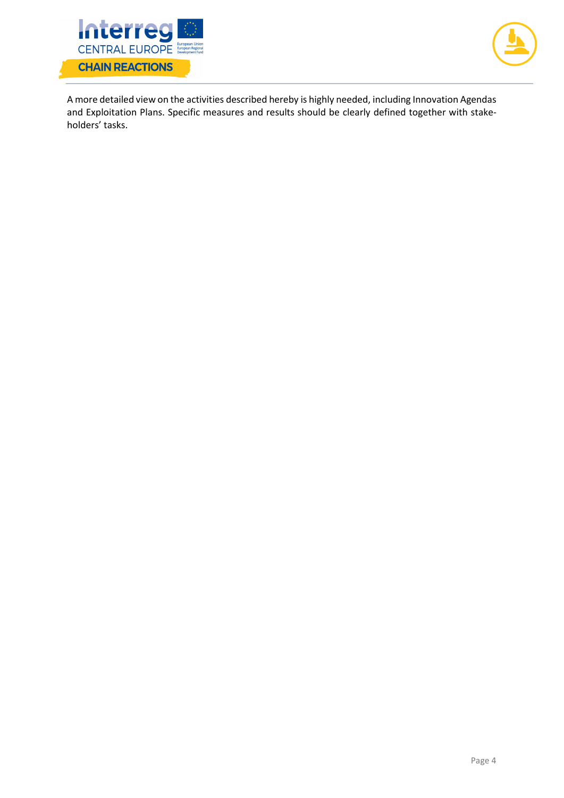



A more detailed view on the activities described hereby is highly needed, including Innovation Agendas and Exploitation Plans. Specific measures and results should be clearly defined together with stakeholders' tasks.